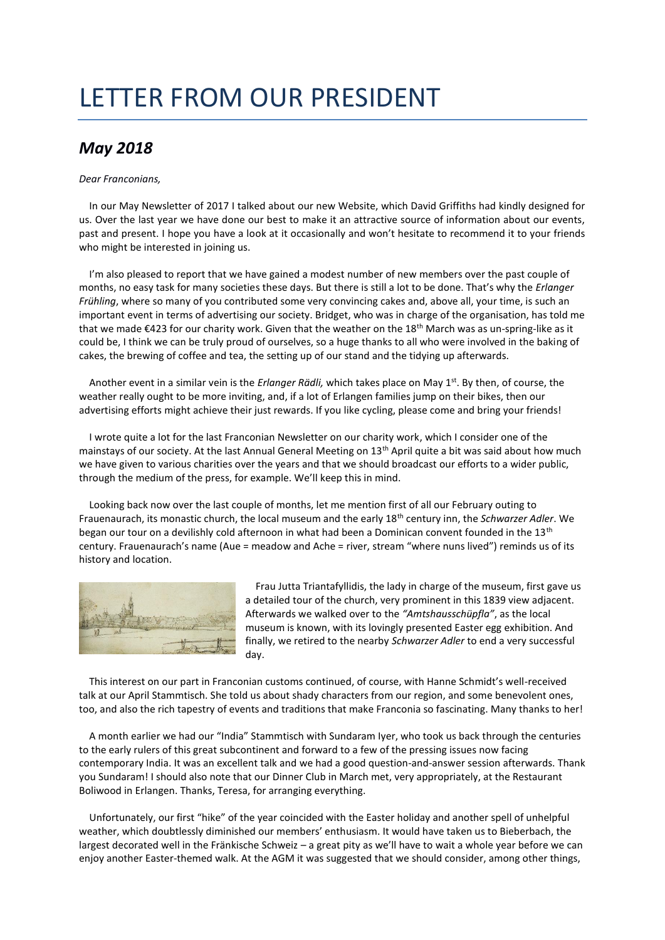## LETTER FROM OUR PRESIDENT

## *May 2018*

## *Dear Franconians,*

In our May Newsletter of 2017 I talked about our new Website, which David Griffiths had kindly designed for us. Over the last year we have done our best to make it an attractive source of information about our events, past and present. I hope you have a look at it occasionally and won't hesitate to recommend it to your friends who might be interested in joining us.

I'm also pleased to report that we have gained a modest number of new members over the past couple of months, no easy task for many societies these days. But there is still a lot to be done. That's why the *Erlanger Frühling*, where so many of you contributed some very convincing cakes and, above all, your time, is such an important event in terms of advertising our society. Bridget, who was in charge of the organisation, has told me that we made €423 for our charity work. Given that the weather on the 18th March was as un-spring-like as it could be, I think we can be truly proud of ourselves, so a huge thanks to all who were involved in the baking of cakes, the brewing of coffee and tea, the setting up of our stand and the tidying up afterwards.

Another event in a similar vein is the *Erlanger Rädli,* which takes place on May 1st. By then, of course, the weather really ought to be more inviting, and, if a lot of Erlangen families jump on their bikes, then our advertising efforts might achieve their just rewards. If you like cycling, please come and bring your friends!

I wrote quite a lot for the last Franconian Newsletter on our charity work, which I consider one of the mainstays of our society. At the last Annual General Meeting on 13<sup>th</sup> April quite a bit was said about how much we have given to various charities over the years and that we should broadcast our efforts to a wider public, through the medium of the press, for example. We'll keep this in mind.

Looking back now over the last couple of months, let me mention first of all our February outing to Frauenaurach, its monastic church, the local museum and the early 18th century inn, the *Schwarzer Adler*. We began our tour on a devilishly cold afternoon in what had been a Dominican convent founded in the 13<sup>th</sup> century. Frauenaurach's name (Aue = meadow and Ache = river, stream "where nuns lived") reminds us of its history and location.



Frau Jutta Triantafyllidis, the lady in charge of the museum, first gave us a detailed tour of the church, very prominent in this 1839 view adjacent. Afterwards we walked over to the *"Amtshausschüpfla"*, as the local museum is known, with its lovingly presented Easter egg exhibition. And finally, we retired to the nearby *Schwarzer Adler* to end a very successful day.

This interest on our part in Franconian customs continued, of course, with Hanne Schmidt's well-received talk at our April Stammtisch. She told us about shady characters from our region, and some benevolent ones, too, and also the rich tapestry of events and traditions that make Franconia so fascinating. Many thanks to her!

A month earlier we had our "India" Stammtisch with Sundaram Iyer, who took us back through the centuries to the early rulers of this great subcontinent and forward to a few of the pressing issues now facing contemporary India. It was an excellent talk and we had a good question-and-answer session afterwards. Thank you Sundaram! I should also note that our Dinner Club in March met, very appropriately, at the Restaurant Boliwood in Erlangen. Thanks, Teresa, for arranging everything.

Unfortunately, our first "hike" of the year coincided with the Easter holiday and another spell of unhelpful weather, which doubtlessly diminished our members' enthusiasm. It would have taken us to Bieberbach, the largest decorated well in the Fränkische Schweiz – a great pity as we'll have to wait a whole year before we can enjoy another Easter-themed walk. At the AGM it was suggested that we should consider, among other things,